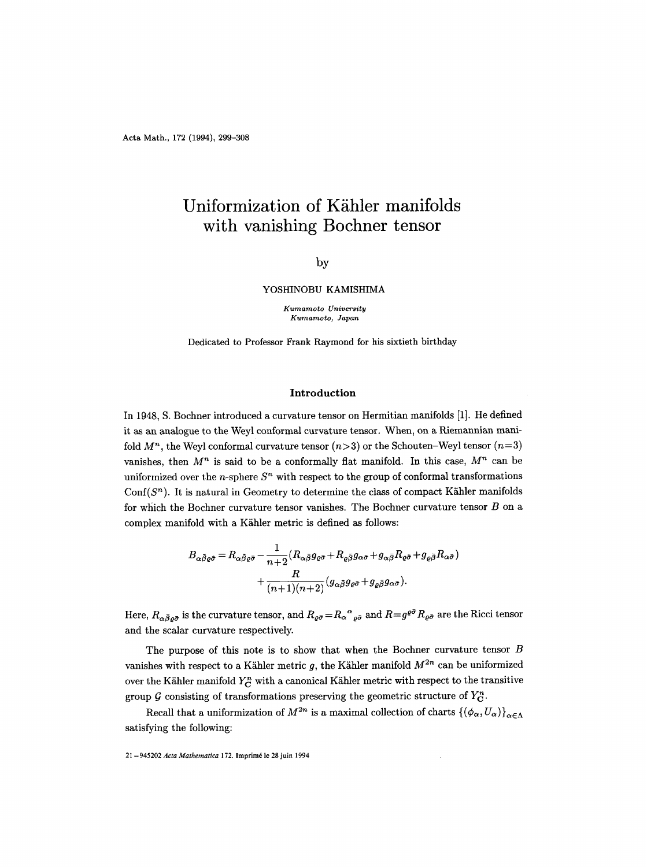# Uniformization of Kähler manifolds **with vanishing Bochner tensor**

## by

YOSHINOBU KAMISHIMA

*Kumamoto University Kumamoto, Japan* 

Dedicated to Professor Frank Raymond for his sixtieth birthday

## Introduction

In 1948, S. Bochner introduced a curvature tensor on Hermitian manifolds [1]. He defined it as an analogue to the Weyl conformal curvature tensor. When, on a Riemannian manifold  $M^n$ , the Weyl conformal curvature tensor  $(n>3)$  or the Schouten-Weyl tensor  $(n=3)$ vanishes, then  $M^n$  is said to be a conformally flat manifold. In this case,  $M^n$  can be uniformized over the n-sphere  $S<sup>n</sup>$  with respect to the group of conformal transformations Conf $(S<sup>n</sup>)$ . It is natural in Geometry to determine the class of compact Kähler manifolds for which the Bochner curvature tensor vanishes. The Bochner curvature tensor B on a complex manifold with a Kähler metric is defined as follows:

$$
\begin{split} B_{\alpha\bar{\beta}\varrho\bar{\sigma}} &= R_{\alpha\bar{\beta}\varrho\bar{\sigma}} - \frac{1}{n+2}(R_{\alpha\bar{\beta}}g_{\varrho\bar{\sigma}} + R_{\varrho\bar{\beta}}g_{\alpha\bar{\sigma}} + g_{\alpha\bar{\beta}}R_{\varrho\bar{\sigma}} + g_{\varrho\bar{\beta}}R_{\alpha\bar{\sigma}}) \\ &+ \frac{R}{(n+1)(n+2)}(g_{\alpha\bar{\beta}}g_{\varrho\bar{\sigma}} + g_{\varrho\bar{\beta}}g_{\alpha\bar{\sigma}}). \end{split}
$$

Here,  $R_{\alpha\bar{\beta}\varrho\bar{\sigma}}$  is the curvature tensor, and  $R_{\varrho\bar{\sigma}}=R_{\alpha}{}^{\alpha}{}_{\varrho\bar{\sigma}}$  and  $R=g^{\varrho\bar{\sigma}}R_{\varrho\bar{\sigma}}$  are the Ricci tensor and the scalar curvature respectively.

The purpose of this note is to show that when the Bochner curvature tensor  $B$ vanishes with respect to a Kähler metric g, the Kähler manifold  $M^{2n}$  can be uniformized over the Kähler manifold  $Y_C^n$  with a canonical Kähler metric with respect to the transitive group G consisting of transformations preserving the geometric structure of  $Y_{\rm C}^n$ .

Recall that a uniformization of  $M^{2n}$  is a maximal collection of charts  $\{(\phi_\alpha, U_\alpha)\}_{\alpha \in \Lambda}$ satisfying the following:

21 - 945202 *Acta Mathematica* 172. lmprim6 le 28 juin 1994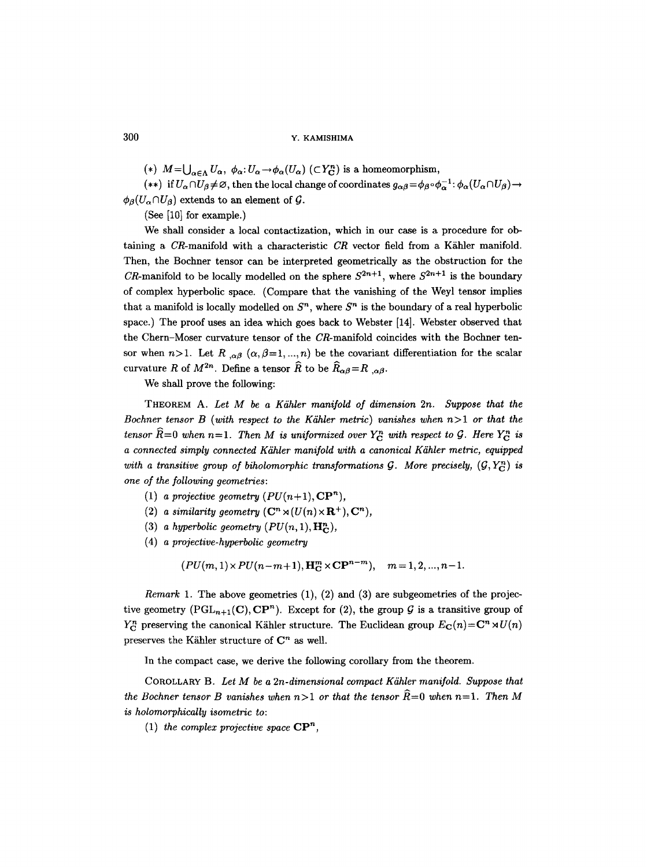(\*)  $M=\bigcup_{\alpha\in\Lambda}U_{\alpha}, \ \phi_{\alpha}:U_{\alpha}\to\phi_{\alpha}(U_{\alpha}) \ (\subset Y_{\mathbf{C}}^n)$  is a homeomorphism,

(\*\*) if  $U_{\alpha} \cap U_{\beta} \neq \emptyset$ , then the local change of coordinates  $g_{\alpha\beta} = \phi_{\beta} \circ \phi_{\alpha}^{-1} : \phi_{\alpha}(U_{\alpha} \cap U_{\beta}) \rightarrow$  $\phi_{\beta}(U_{\alpha} \cap U_{\beta})$  extends to an element of G.

(See [10] for example.)

We shall consider a local contactization, which in our case is a procedure for obtaining a  $CR$ -manifold with a characteristic  $CR$  vector field from a Kähler manifold. Then, the Bochner tensor can be interpreted geometrically as the obstruction for the CR-manifold to be locally modelled on the sphere  $S^{2n+1}$ , where  $S^{2n+1}$  is the boundary of complex hyperbolic space. (Compare that the vanishing of the Weyl tensor implies that a manifold is locally modelled on  $S<sup>n</sup>$ , where  $S<sup>n</sup>$  is the boundary of a real hyperbolic space.) The proof uses an idea which goes back to Webster [14]. Webster observed that the Chern-Moser curvature tensor of the CR-manifold coincides with the Bochner tensor when  $n>1$ . Let R  $_{,\alpha\beta}$   $(\alpha,\beta=1, ...,n)$  be the covariant differentiation for the scalar curvature R of  $M^{2n}$ . Define a tensor  $\widehat{R}$  to be  $\widehat{R}_{\alpha\beta}=R_{,\alpha\beta}$ .

We shall prove the following:

THEOREM A. Let M be a Kähler manifold of dimension 2n. Suppose that the *Bochner tensor B (with respect to the Kähler metric) vanishes when*  $n>1$  *or that the tensor*  $\widehat{R}=0$  when  $n=1$ . Then M is uniformized over  $Y_C^n$  with respect to G. Here  $Y_C^n$  is *a connected simply connected K?ihler manifold with a canonical Kdhler metric, equipped*  with a transitive group of biholomorphic transformations G. More precisely,  $(G, Y_c^n)$  is *one of the following geometries:* 

- (1) *a projective geometry*  $(PU(n+1), \mathbf{CP}^n)$ *,*
- (2) *a similarity geometry*  $(\mathbb{C}^n \rtimes (U(n) \times \mathbb{R}^+), \mathbb{C}^n)$ ,
- (3) *a hyperbolic geometry*  $(PU(n, 1), \mathbf{H_C}^n)$ ,
- (4) *a projective-hyperbolic geometry*

$$
(PU(m,1) \times PU(n-m+1), \mathbf{H}_{\mathbf{C}}^{m} \times \mathbf{CP}^{n-m}), \quad m=1,2,...,n-1.
$$

*Remark* 1. The above geometries (1), (2) and (3) are subgeometries of the projective geometry (PGL<sub>n+1</sub>(C), CP<sup>n</sup>). Except for (2), the group G is a transitive group of  $Y_{\text{C}}^{n}$  preserving the canonical Kähler structure. The Euclidean group  $E_{\text{C}}(n) = C^{n} \rtimes U(n)$ preserves the Kähler structure of  $\mathbb{C}^n$  as well.

In the compact case, we derive the following corollary from the theorem.

COROLLARY **B.** *Let M be a 2n-dimensional compact Kdhler manifold. Suppose that the Bochner tensor B vanishes when n*>1 *or that the tensor*  $\widehat{R}=0$  when n=1. Then M *is holomorphicaUy isometric to:* 

(1) the complex projective space  $\mathbf{CP}^n$ ,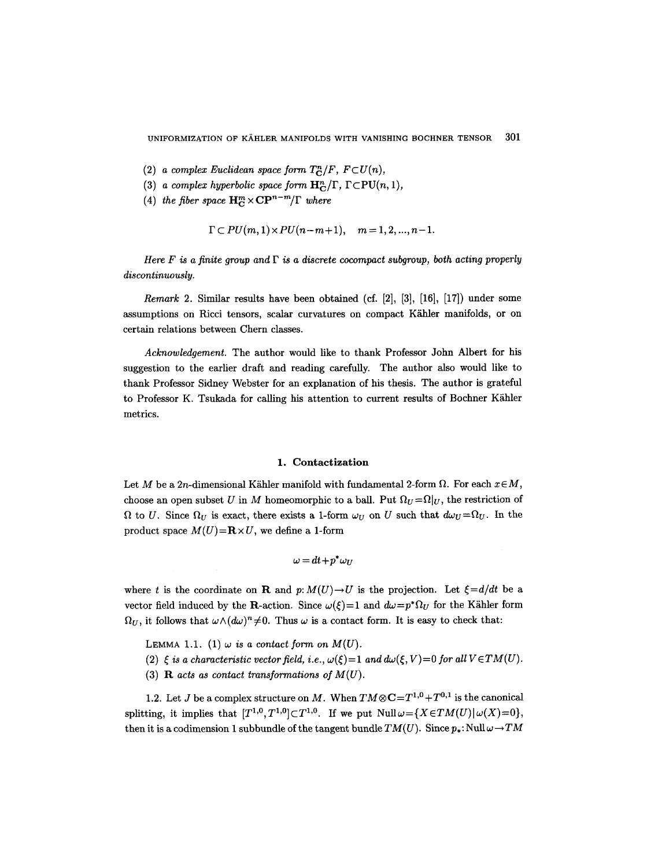- (2) *a complex Euclidean space form*  $T_c^n/F$ ,  $F\subset U(n)$ ,
- (3) *a complex hyperbolic space form*  $H_C^n/\Gamma$ ,  $\Gamma \subset \text{PU}(n, 1)$ ,
- (4) *the fiber space*  $\mathbf{H}_{\mathbf{C}}^m \times \mathbf{C} \mathbf{P}^{n-m}/\Gamma$  *where*

$$
\Gamma \subset PU(m, 1) \times PU(n-m+1), \quad m = 1, 2, ..., n-1.
$$

*Here F is a finite group and*  $\Gamma$  *is a discrete cocompact subgroup, both acting properly discontinuously.* 

*Remark* 2. Similar results have been obtained (cf. [2], [3], [16], [17l) under some assumptions on Ricci tensors, scalar curvatures on compact Kähler manifolds, or on certain relations between Chern classes.

*Acknowledgement.* The author would like to thank Professor John Albert for his suggestion to the earlier draft and reading carefully. The author also would like to thank Professor Sidney Webster for an explanation of his thesis. The author is grateful to Professor K. Tsukada for calling his attention to current results of Bochner Kähler metrics.

## **1. Contactization**

Let M be a 2n-dimensional Kähler manifold with fundamental 2-form  $\Omega$ . For each  $x \in M$ , choose an open subset U in M homeomorphic to a ball. Put  $\Omega_U = \Omega|_U$ , the restriction of  $\Omega$  to U. Since  $\Omega_U$  is exact, there exists a 1-form  $\omega_U$  on U such that  $d\omega_U = \Omega_U$ . In the product space  $M(U)=\mathbf{R}\times U$ , we define a 1-form

$$
\omega = dt + p^* \omega_U
$$

where t is the coordinate on **R** and  $p: M(U) \to U$  is the projection. Let  $\xi = d/dt$  be a vector field induced by the R-action. Since  $\omega(\xi)=1$  and  $d\omega=p^*\Omega_U$  for the Kähler form  $\Omega_U$ , it follows that  $\omega \wedge (d\omega)^n \neq 0$ . Thus  $\omega$  is a contact form. It is easy to check that:

LEMMA 1.1. (1)  $\omega$  *is a contact form on M(U).* 

- (2)  $\xi$  is a characteristic vector field, i.e.,  $\omega(\xi)=1$  and  $d\omega(\xi, V)=0$  for all  $V\in TM(U)$ .
- **(3) R** *acts as contact transformations of M(U).*

1.2. Let J be a complex structure on M. When  $TM \otimes \mathbb{C} = T^{1,0} + T^{0,1}$  is the canonical splitting, it implies that  $[T^{1,0}, T^{1,0}]\subset T^{1,0}$ . If we put  $\text{Null}\,\omega=\{X\,\in TM(U)\,|\,\omega(X)=0\},$ then it is a codimension 1 subbundle of the tangent bundle  $TM(U)$ . Since  $p_*$ : Null  $\omega \rightarrow TM$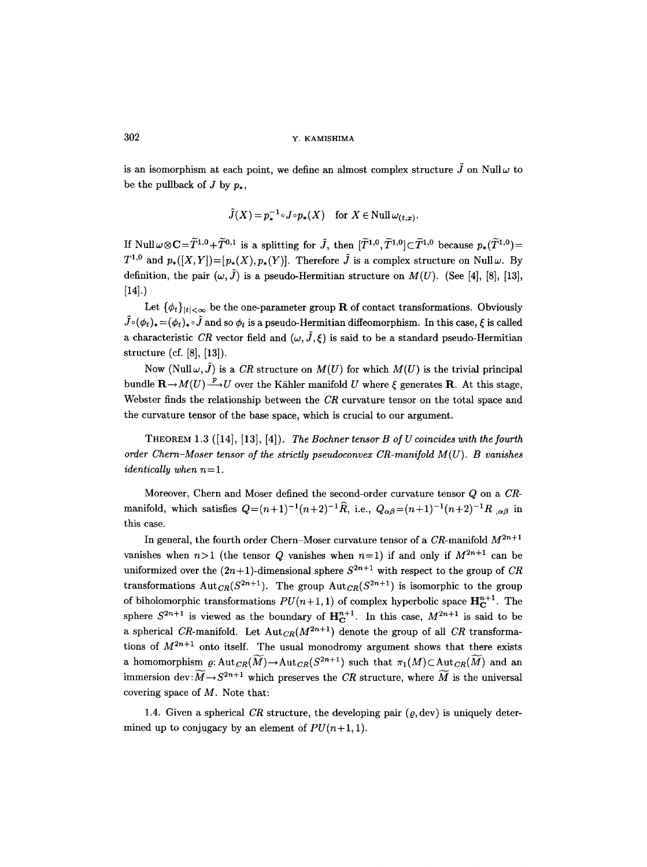is an isomorphism at each point, we define an almost complex structure  $\tilde{J}$  on Null $\omega$  to be the pullback of  $J$  by  $p_{\star}$ .

$$
\tilde{J}(X) = p_*^{-1} \circ J \circ p_*(X) \quad \text{for } X \in \text{Null} \,\omega_{(t,x)}.
$$

If Null $\omega \otimes \mathbf{C} = \widetilde{T}^{1,0} + \widetilde{T}^{0,1}$  is a splitting for  $\widetilde{J}$ , then  $[\widetilde{T}^{1,0}, \widetilde{T}^{1,0}] \subset \widetilde{T}^{1,0}$  because  $p_*(\widetilde{T}^{1,0}) =$  $T^{1,0}$  and  $p_*(X,Y)=p_*(X),p_*(Y)$ . Therefore  $\tilde{J}$  is a complex structure on Null $\omega$ . By definition, the pair  $(\omega, \tilde{J})$  is a pseudo-Hermitian structure on  $M(U)$ . (See [4], [8], [13], [14].)

Let  $\{\phi_t\}_{|t|<\infty}$  be the one-parameter group **R** of contact transformations. Obviously  $\tilde{J}\circ(\phi_t)_*=(\phi_t)_*\circ\tilde{J}$  and so  $\phi_t$  is a pseudo-Hermitian diffeomorphism. In this case,  $\xi$  is called a characteristic *CR* vector field and  $(\omega, \tilde{J}, \xi)$  is said to be a standard pseudo-Hermitian structure (cf. [8], [13]).

Now (Null $\omega$ ,  $\tilde{J}$ ) is a *CR* structure on  $M(U)$  for which  $M(U)$  is the trivial principal bundle  $\mathbf{R}\rightarrow M(U) \stackrel{p}{\longrightarrow} U$  over the Kähler manifold U where  $\xi$  generates  $\mathbf{R}$ . At this stage, Webster finds the relationship between the *CR* curvature tensor on the total space and the curvature tensor of the base space, which is crucial to our argument.

THEOREM 1.3 ([14], [13], [4]). *The Bochner tensor B of U coincides with the fourth order Chern-Moser tensor of the strictly pseudoconvex CR-manifold M(U). B vanishes identically when*  $n=1$ .

Moreover, Chern and Moser defined the second-order curvature tensor Q on a *CR*manifold, which satisfies  $Q=(n+1)^{-1}(n+2)^{-1}\hat{R}$ , i.e.,  $Q_{\alpha\beta}=(n+1)^{-1}(n+2)^{-1}R$ ,  $_{\alpha\beta}$  in this case.

In general, the fourth order Chern-Moser curvature tensor of a  $CR$ -manifold  $M^{2n+1}$ vanishes when  $n>1$  (the tensor Q vanishes when  $n=1$ ) if and only if  $M^{2n+1}$  can be uniformized over the  $(2n+1)$ -dimensional sphere  $S^{2n+1}$  with respect to the group of *CR* transformations Autc<sub>R</sub>( $S^{2n+1}$ ). The group Autc<sub>R</sub>( $S^{2n+1}$ ) is isomorphic to the group of biholomorphic transformations  $PU(n+1, 1)$  of complex hyperbolic space  $H_C^{n+1}$ . The sphere  $S^{2n+1}$  is viewed as the boundary of  $H_C^{n+1}$ . In this case,  $M^{2n+1}$  is said to be a spherical CR-manifold. Let  $Aut_{CR}(M^{2n+1})$  denote the group of all CR transformations of  $M^{2n+1}$  onto itself. The usual monodromy argument shows that there exists a homomorphism  $\varrho: \text{Aut}_{CR}(\widetilde{M}) \to \text{Aut}_{CR}(S^{2n+1})$  such that  $\pi_1(M) \subset \text{Aut}_{CR}(\widetilde{M})$  and an immersion dev: $\widetilde{M} \rightarrow S^{2n+1}$  which preserves the *CR* structure, where  $\widetilde{M}$  is the universal covering space of  $M$ . Note that:

1.4. Given a spherical *CR* structure, the developing pair  $(\varrho, dev)$  is uniquely determined up to conjugacy by an element of  $PU(n+1, 1)$ .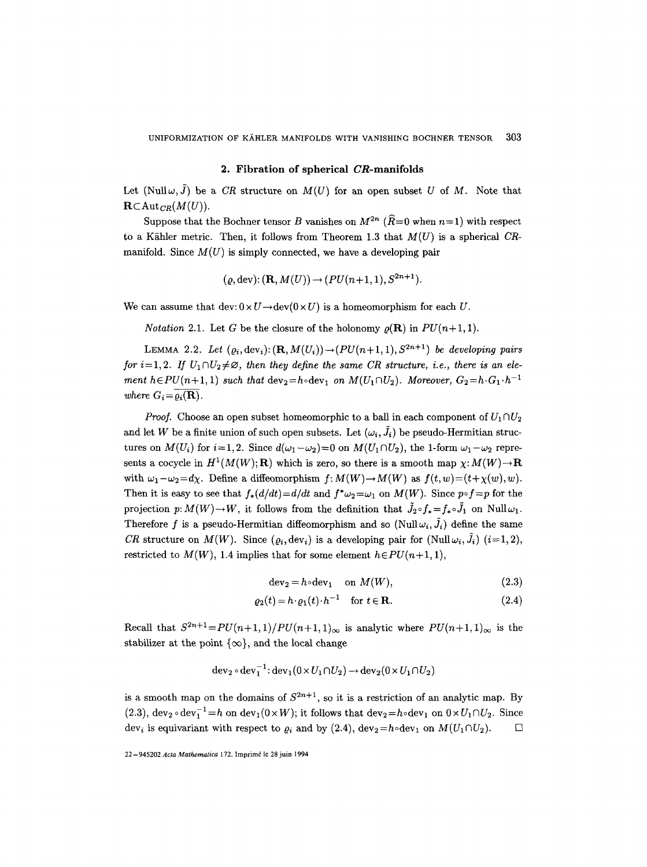#### **2. Fibration of spherical CR-manifolds**

Let  $(Null \omega, \tilde{J})$  be a *CR* structure on  $M(U)$  for an open subset U of M. Note that  $\mathbf{R}\subset \text{Aut}_{CR}(M(U)).$ 

Suppose that the Bochner tensor B vanishes on  $M^{2n}$  ( $\hat{R}=0$  when  $n=1$ ) with respect to a Kähler metric. Then, it follows from Theorem 1.3 that  $M(U)$  is a spherical *CR*manifold. Since  $M(U)$  is simply connected, we have a developing pair

$$
(\varrho,\mathrm{dev})\colon(\mathbf{R},M(U))\to(PU(n+1,1),S^{2n+1}).
$$

We can assume that  $dev: 0 \times U \rightarrow dev(0 \times U)$  is a homeomorphism for each U.

*Notation* 2.1. Let G be the closure of the holonomy  $\rho(\mathbf{R})$  in  $PU(n+1, 1)$ .

LEMMA 2.2. Let  $(\varrho_i, \text{dev}_i): (\mathbf{R}, M(U_i)) \rightarrow (PU(n+1, 1), S^{2n+1})$  *be developing pairs for i*=1,2. If  $U_1 \cap U_2 \neq \emptyset$ , then they define the same CR structure, i.e., there is an ele*ment*  $h \in PU(n+1, 1)$  *such that*  $dev_2 = h \cdot dev_1$  *on*  $M(U_1 \cap U_2)$ *. Moreover,*  $G_2 = h \cdot G_1 \cdot h^{-1}$ *where*  $G_i = \overline{\rho_i(\mathbf{R})}$ .

*Proof.* Choose an open subset homeomorphic to a ball in each component of  $U_1 \cap U_2$ and let W be a finite union of such open subsets. Let  $(\omega_i, \tilde{J}_i)$  be pseudo-Hermitian structures on  $M(U_i)$  for  $i=1,2$ . Since  $d(\omega_1-\omega_2)=0$  on  $M(U_1\cap U_2)$ , the 1-form  $\omega_1-\omega_2$  represents a cocycle in  $H^1(M(W); \mathbf{R})$  which is zero, so there is a smooth map  $\chi: M(W) \to \mathbf{R}$ with  $\omega_1-\omega_2=d\chi$ . Define a diffeomorphism  $f: M(W)\to M(W)$  as  $f(t,w)=(t+\chi(w),w)$ . Then it is easy to see that  $f_*(d/dt) = d/dt$  and  $f^*\omega_2 = \omega_1$  on  $M(W)$ . Since  $p \circ f = p$  for the projection  $p: M(W) \to W$ , it follows from the definition that  $\tilde{J}_2 \circ f_* = f_* \circ \tilde{J}_1$  on Null $\omega_1$ . Therefore f is a pseudo-Hermitian diffeomorphism and so  $(Null \omega_i, \tilde{J}_i)$  define the same *CR* structure on  $M(W)$ . Since  $(\varrho_i, dev_i)$  is a developing pair for  $(Null \omega_i, \tilde{J}_i)$   $(i=1, 2)$ , restricted to  $M(W)$ , 1.4 implies that for some element  $h \in PU(n+1, 1)$ ,

$$
dev2 = h \circ dev1 \quad \text{on } M(W), \tag{2.3}
$$

$$
\varrho_2(t) = h \cdot \varrho_1(t) \cdot h^{-1} \quad \text{for } t \in \mathbf{R}.\tag{2.4}
$$

Recall that  $S^{2n+1} = PU(n+1, 1)/PU(n+1, 1)_{\infty}$  is analytic where  $PU(n+1, 1)_{\infty}$  is the stabilizer at the point  $\{\infty\}$ , and the local change

$$
dev_2 \circ dev_1^{-1}: dev_1(0 \times U_1 \cap U_2) \to dev_2(0 \times U_1 \cap U_2)
$$

is a smooth map on the domains of  $S^{2n+1}$ , so it is a restriction of an analytic map. By (2.3),  $dev_2 \circ dev_1^{-1} = h$  on  $dev_1(0 \times W)$ ; it follows that  $dev_2 = h \circ dev_1$  on  $0 \times U_1 \cap U_2$ . Since dev<sub>i</sub> is equivariant with respect to  $\rho_i$  and by (2.4), dev<sub>2</sub>=h<sub>o</sub>dev<sub>1</sub> on  $M(U_1 \cap U_2)$ .  $\square$ 

<sup>22-945202</sup> *Acta Mathematica* 172. Imprimd le 28 juin 1994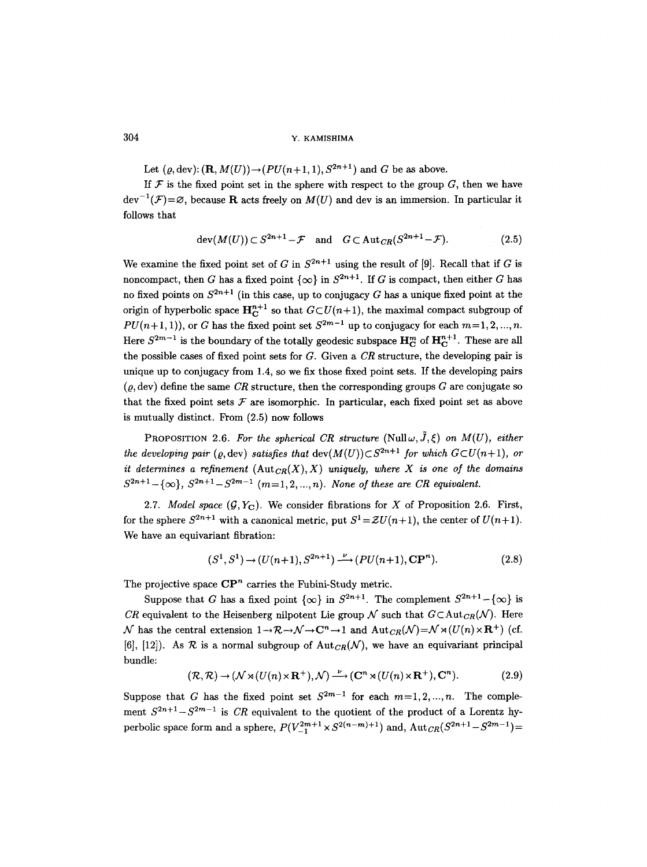Let  $(\rho, \text{dev})$ :  $(\mathbf{R}, M(U)) \rightarrow (PU(n+1, 1), S^{2n+1})$  and G be as above.

If  $\mathcal F$  is the fixed point set in the sphere with respect to the group  $G$ , then we have  $dev^{-1}(\mathcal{F})=\varnothing$ , because **R** acts freely on  $M(U)$  and dev is an immersion. In particular it follows that

$$
\operatorname{dev}(M(U)) \subset S^{2n+1} - \mathcal{F} \quad \text{and} \quad G \subset \operatorname{Aut}_{CR}(S^{2n+1} - \mathcal{F}). \tag{2.5}
$$

We examine the fixed point set of G in  $S^{2n+1}$  using the result of [9]. Recall that if G is noncompact, then G has a fixed point  $\{\infty\}$  in  $S^{2n+1}$ . If G is compact, then either G has no fixed points on  $S^{2n+1}$  (in this case, up to conjugacy G has a unique fixed point at the origin of hyperbolic space  $H_C^{n+1}$  so that  $G\subset U(n+1)$ , the maximal compact subgroup of  $PU(n+1, 1)$ , or G has the fixed point set  $S^{2m-1}$  up to conjugacy for each  $m=1, 2, ..., n$ . Here  $S^{2m-1}$  is the boundary of the totally geodesic subspace  $\mathbf{H}_{\text{C}}^{m}$  of  $\mathbf{H}_{\text{C}}^{n+1}$ . These are all the possible cases of fixed point sets for G. Given a *CR* structure, the developing pair is unique up to conjugacy from 1.4, so we fix those fixed point sets. If the developing pairs  $(\rho, dev)$  define the same *CR* structure, then the corresponding groups G are conjugate so that the fixed point sets  $\mathcal F$  are isomorphic. In particular, each fixed point set as above is mutually distinct. From (2.5) now follows

PROPOSITION 2.6. For the spherical CR structure (Null $\omega, \tilde{J}, \xi$ ) on  $M(U)$ , either *the developing pair (o, dev) satisfies that dev(M(U))* $\subset S^{2n+1}$  for which  $G \subset U(n+1)$ , or *it determines a refinement*  $(\text{Aut}_{CR}(X), X)$  uniquely, where X is one of the domains  $S^{2n+1}-\{\infty\}, S^{2n+1}-S^{2m-1}$   $(m=1, 2, ..., n)$ . None of these are CR equivalent.

2.7. *Model space*  $(G, Y_C)$ . We consider fibrations for X of Proposition 2.6. First, for the sphere  $S^{2n+1}$  with a canonical metric, put  $S^1 = ZU(n+1)$ , the center of  $U(n+1)$ . We have an equivariant fibration:

$$
(S1, S1) \rightarrow (U(n+1), S2n+1) \xrightarrow{\nu} (PU(n+1), \mathbf{CP}^n).
$$
 (2.8)

The projective space  $\mathbb{CP}^n$  carries the Fubini-Study metric.

Suppose that G has a fixed point  $\{\infty\}$  in  $S^{2n+1}$ . The complement  $S^{2n+1}-\{\infty\}$  is *CR* equivalent to the Heisenberg nilpotent Lie group  $\mathcal N$  such that  $G \subset Aut_{CR}(\mathcal N)$ . Here  $\mathcal N$  has the central extension  $1\to\mathcal R\to\mathcal N\to{\bf C}^n\to 1$  and  ${\rm Aut}_{CR}(\mathcal N)=\mathcal N\rtimes (U(n)\times{\bf R}^+)$  (cf. [6], [12]). As R is a normal subgroup of  $Aut_{CR}(\mathcal{N})$ , we have an equivariant principal bundle:

$$
(\mathcal{R}, \mathcal{R}) \to (\mathcal{N} \rtimes (U(n) \times \mathbf{R}^+), \mathcal{N}) \xrightarrow{\nu} (\mathbf{C}^n \rtimes (U(n) \times \mathbf{R}^+), \mathbf{C}^n).
$$
 (2.9)

Suppose that G has the fixed point set  $S^{2m-1}$  for each  $m=1,2,...,n$ . The complement  $S^{2n+1}-S^{2m-1}$  is *CR* equivalent to the quotient of the product of a Lorentz hyperbolic space form and a sphere,  $P(V_{-1}^{2m+1} \times S^{2(n-m)+1})$  and,  $\text{Aut}_{CR}(S^{2n+1}-S^{2m-1})=$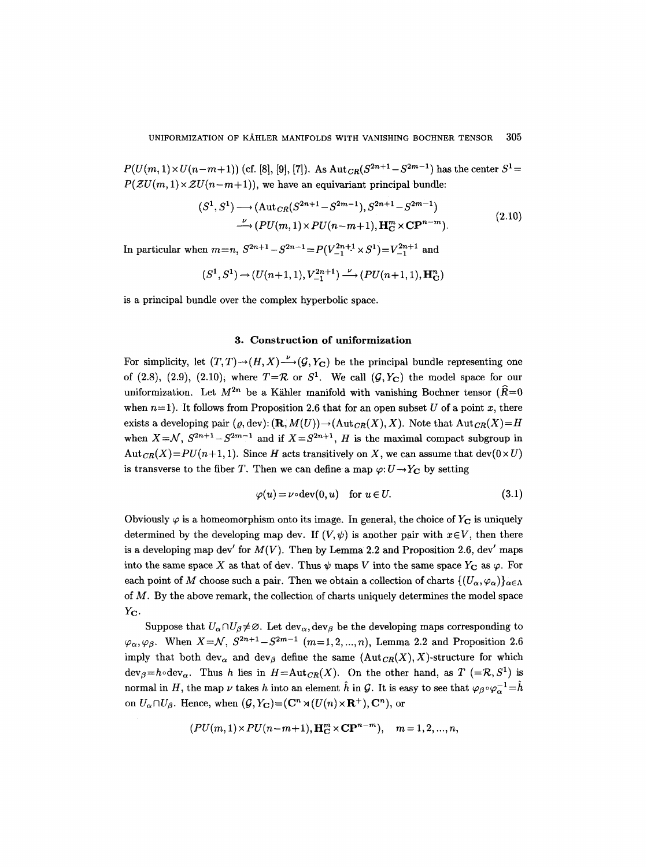$P(U(m, 1) \times U(n-m+1))$  (cf. [8], [9], [7]). As  $Aut_{CR}(S^{2n+1}-S^{2m-1})$  has the center  $S^1=$  $P(ZU(m, 1) \times ZU(n-m+1))$ , we have an equivariant principal bundle:

$$
(S^1, S^1) \longrightarrow (\text{Aut}_{CR}(S^{2n+1} - S^{2m-1}), S^{2n+1} - S^{2m-1})
$$
  

$$
\longrightarrow (PU(m, 1) \times PU(n-m+1), \mathbf{H}_C^m \times \mathbf{CP}^{n-m}).
$$
 (2.10)

In particular when  $m=n$ ,  $S^{2n+1}-S^{2n-1}=P(V_{-1}^{2n+1}\times S^{1})=V_{-1}^{2n+1}$  and

$$
(S^1,S^1)\rightarrow (U(n+1,1),V^{2n+1}_{-1})\overset{\nu}{\longrightarrow} (PU(n+1,1),\mathbf{H}_{\mathbf{C}}^n)
$$

is a principal bundle over the complex hyperbolic space.

## **3. Construction of uniformization**

For simplicity, let  $(T, T) \rightarrow (H, X) \rightarrow (G, Y_C)$  be the principal bundle representing one of (2.8), (2.9), (2.10), where  $T=\mathcal{R}$  or  $S^1$ . We call  $(\mathcal{G}, Y_C)$  the model space for our uniformization. Let  $M^{2n}$  be a Kähler manifold with vanishing Bochner tensor ( $\widehat{R}=0$ when  $n=1$ ). It follows from Proposition 2.6 that for an open subset U of a point x, there exists a developing pair  $(\varrho, \text{dev}) : (\mathbf{R}, M(U)) \to (\text{Aut}_{CR}(X), X)$ . Note that  $\text{Aut}_{CR}(X) = H$ when  $X = \mathcal{N}$ ,  $S^{2n+1} - S^{2m-1}$  and if  $X = S^{2n+1}$ , *H* is the maximal compact subgroup in  $Aut_{CR}(X) = PU(n+1, 1)$ . Since *H* acts transitively on *X*, we can assume that dev(0 × *U*) is transverse to the fiber T. Then we can define a map  $\varphi: U \to Y_{\mathbb{C}}$  by setting

$$
\varphi(u) = \nu \circ \text{dev}(0, u) \quad \text{for } u \in U. \tag{3.1}
$$

Obviously  $\varphi$  is a homeomorphism onto its image. In general, the choice of  $Y_{\mathbf{C}}$  is uniquely determined by the developing map dev. If  $(V, \psi)$  is another pair with  $x \in V$ , then there is a developing map dev' for  $M(V)$ . Then by Lemma 2.2 and Proposition 2.6, dev' maps into the same space X as that of dev. Thus  $\psi$  maps V into the same space  $Y_{\mathbf{C}}$  as  $\varphi$ . For each point of M choose such a pair. Then we obtain a collection of charts  $\{ (U_{\alpha}, \varphi_{\alpha}) \}_{\alpha \in \Lambda}$ of  $M$ . By the above remark, the collection of charts uniquely determines the model space Y<sub>C</sub>.

Suppose that  $U_{\alpha} \cap U_{\beta} \neq \emptyset$ . Let  $dev_{\alpha}$ ,  $dev_{\beta}$  be the developing maps corresponding to  $\varphi_{\alpha}, \varphi_{\beta}$ . When  $X=\mathcal{N}, S^{2n+1}-S^{2m-1}$   $(m=1,2,...,n)$ , Lemma 2.2 and Proposition 2.6 imply that both dev<sub> $\alpha$ </sub> and dev<sub> $\beta$ </sub> define the same  $(Aut_{CR}(X),X)$ -structure for which  $dev_{\beta}=h\circ dev_{\alpha}$ . Thus h lies in  $H=\text{Aut}_{CR}(X)$ . On the other hand, as  $T$  (= $\mathcal{R}, S^1$ ) is normal in H, the map  $\nu$  takes h into an element  $\hat{h}$  in G. It is easy to see that  $\varphi_{\beta} \circ \varphi_{\alpha}^{-1} = \hat{h}$ on  $U_{\alpha} \cap U_{\beta}$ . Hence, when  $(\mathcal{G}, Y_{\mathbf{C}}) = (\mathbf{C}^n \rtimes (U(n) \times \mathbf{R}^+), \mathbf{C}^n)$ , or

$$
(PU(m,1) \times PU(n-m+1), \mathbf{H}_{\mathbf{C}}^{m} \times \mathbf{CP}^{n-m}), \quad m = 1, 2, ..., n,
$$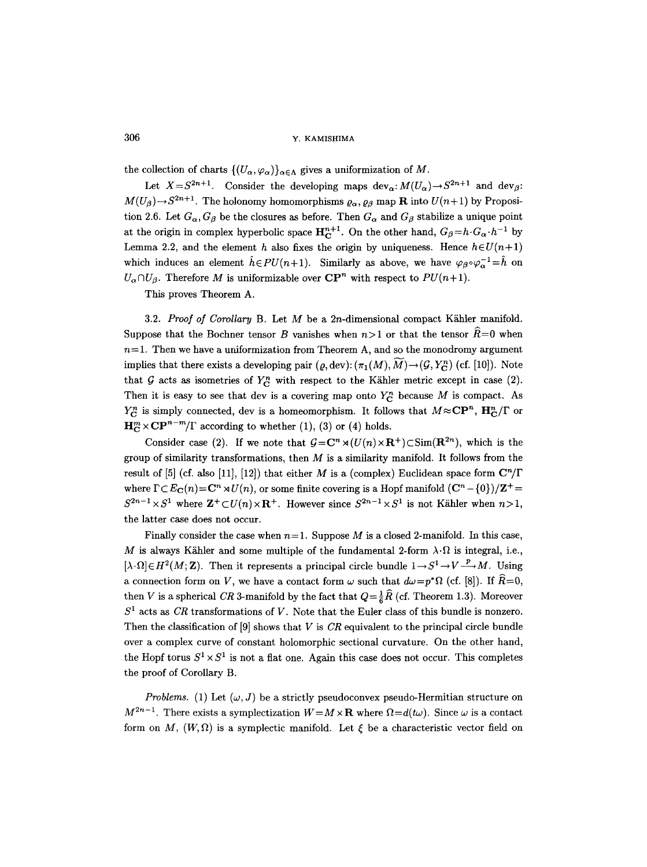the collection of charts  $\{(U_{\alpha}, \varphi_{\alpha})\}_{\alpha \in \Lambda}$  gives a uniformization of M.

Let  $X = S^{2n+1}$ . Consider the developing maps  $dev_{\alpha}: M(U_{\alpha}) \to S^{2n+1}$  and  $dev_{\beta}:$  $M(U_\beta) \rightarrow S^{2n+1}$ . The holonomy homomorphisms  $\rho_\alpha$ ,  $\rho_\beta$  map **R** into  $U(n+1)$  by Proposition 2.6. Let  $G_{\alpha}$ ,  $G_{\beta}$  be the closures as before. Then  $G_{\alpha}$  and  $G_{\beta}$  stabilize a unique point at the origin in complex hyperbolic space  $\mathbf{H}_{\mathbf{C}}^{n+1}$ . On the other hand,  $G_{\beta} = h \cdot G_{\alpha} \cdot h^{-1}$  by Lemma 2.2, and the element h also fixes the origin by uniqueness. Hence  $h \in U(n+1)$ which induces an element  $\hat{h} \in PU(n+1)$ . Similarly as above, we have  $\varphi_{\beta} \circ \varphi_{\alpha}^{-1} = \hat{h}$  on  $U_{\alpha} \cap U_{\beta}$ . Therefore *M* is uniformizable over  $\mathbb{CP}^n$  with respect to  $PU(n+1)$ .

This proves Theorem A.

3.2. *Proof of Corollary B.* Let M be a 2n-dimensional compact Kähler manifold. Suppose that the Bochner tensor B vanishes when  $n>1$  or that the tensor  $\tilde{R}=0$  when  $n=1$ . Then we have a uniformization from Theorem A, and so the monodromy argument implies that there exists a developing pair  $(\rho, dev): (\pi_1(M), \tilde{M}) \rightarrow (\mathcal{G}, Y_{\mathcal{C}}^n)$  (cf. [10]). Note that G acts as isometries of  $Y_{\text{C}}^{n}$  with respect to the Kähler metric except in case (2). Then it is easy to see that dev is a covering map onto  $Y_C^n$  because M is compact. As  $Y_{\text{C}}^{n}$  is simply connected, dev is a homeomorphism. It follows that  $M \approx \text{CP}^{n}$ ,  $\text{H}_{\text{C}}^{n}/\Gamma$  or  $\mathbf{H}_{\mathbf{C}}^{m} \times \mathbf{C} \mathbf{P}^{n-m} / \Gamma$  according to whether (1), (3) or (4) holds.

Consider case (2). If we note that  $G = \mathbb{C}^n \rtimes (U(n) \times \mathbb{R}^+) \subset \text{Sim}(\mathbb{R}^{2n})$ , which is the group of similarity transformations, then  $M$  is a similarity manifold. It follows from the result of [5] (cf. also [11], [12]) that either M is a (complex) Euclidean space form  $\mathbb{C}^n/\Gamma$ where  $\Gamma \subset E_{\mathbf{C}}(n) = \mathbf{C}^n \rtimes U(n)$ , or some finite covering is a Hopf manifold  $(\mathbf{C}^n - \{0\})/\mathbf{Z}^+$  $S^{2n-1} \times S^1$  where  $\mathbf{Z}^+ \subset U(n) \times \mathbf{R}^+$ . However since  $S^{2n-1} \times S^1$  is not Kähler when  $n>1$ , the latter case does not occur.

Finally consider the case when  $n=1$ . Suppose M is a closed 2-manifold. In this case, M is always Kähler and some multiple of the fundamental 2-form  $\lambda \cdot \Omega$  is integral, i.e.,  $[\lambda \cdot \Omega] \in H^2(M; \mathbb{Z})$ . Then it represents a principal circle bundle  $1 \rightarrow S^1 \rightarrow V \rightarrow M$ . Using a connection form on V, we have a contact form  $\omega$  such that  $d\omega = p^*\Omega$  (cf. [8]). If  $\hat{R}=0$ , then V is a spherical *CR* 3-manifold by the fact that  $Q = \frac{1}{6}\hat{R}$  (cf. Theorem 1.3). Moreover  $S<sup>1</sup>$  acts as *CR* transformations of V. Note that the Euler class of this bundle is nonzero. Then the classification of [9] shows that V is *CR* equivalent to the principal circle bundle over a complex curve of constant holomorphic sectional curvature. On the other hand, the Hopf torus  $S^1 \times S^1$  is not a flat one. Again this case does not occur. This completes the proof of Corollary B.

*Problems.* (1) Let  $(\omega, J)$  be a strictly pseudoconvex pseudo-Hermitian structure on  $M^{2n-1}$ . There exists a symplectization  $W=M\times{\bf R}$  where  $\Omega=d(t\omega)$ . Since  $\omega$  is a contact form on M,  $(W, \Omega)$  is a symplectic manifold. Let  $\xi$  be a characteristic vector field on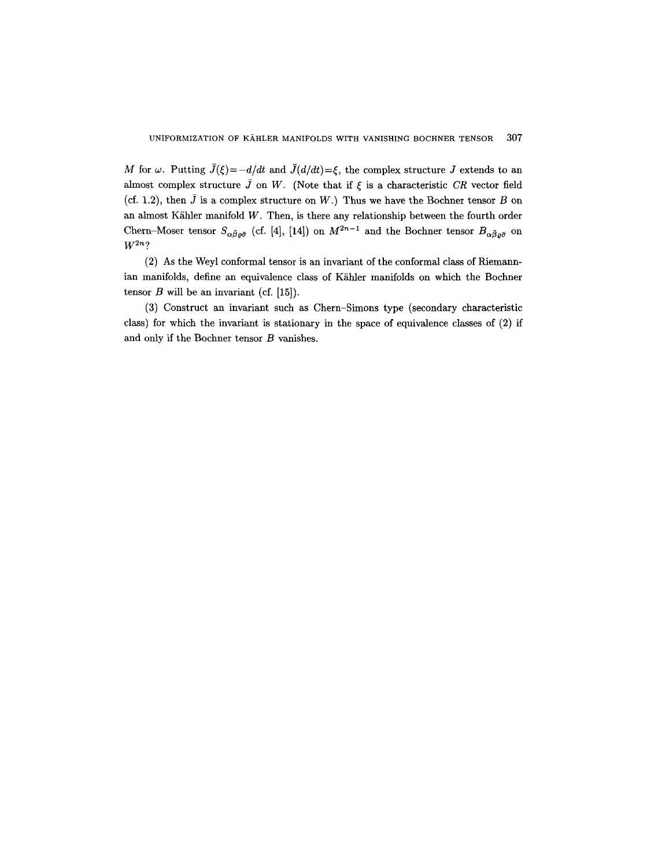M for  $\omega$ . Putting  $\bar{J}(\xi) = -d/dt$  and  $\bar{J}(d/dt) = \xi$ , the complex structure J extends to an almost complex structure  $\bar{J}$  on W. (Note that if  $\xi$  is a characteristic *CR* vector field (cf. 1.2), then  $\bar{J}$  is a complex structure on W.) Thus we have the Bochner tensor  $B$  on an almost Kähler manifold  $W$ . Then, is there any relationship between the fourth order Chern-Moser tensor  $S_{\alpha\bar{\beta}\varrho\bar{\sigma}}$  (cf. [4], [14]) on  $M^{2n-1}$  and the Bochner tensor  $B_{\alpha\bar{\beta}\varrho\bar{\sigma}}$  on  $W^{2n}$ ?

(2) As the Weyl conformal tensor is an invariant of the conformal class of Riemannian manifolds, define an equivalence class of Kähler manifolds on which the Bochner tensor  $B$  will be an invariant (cf. [15]).

(3) Construct an invariant such as Chern-Simons type (secondary characteristic class) for which the invariant is stationary in the space of equivalence classes of (2) if and only if the Bochner tensor B vanishes.